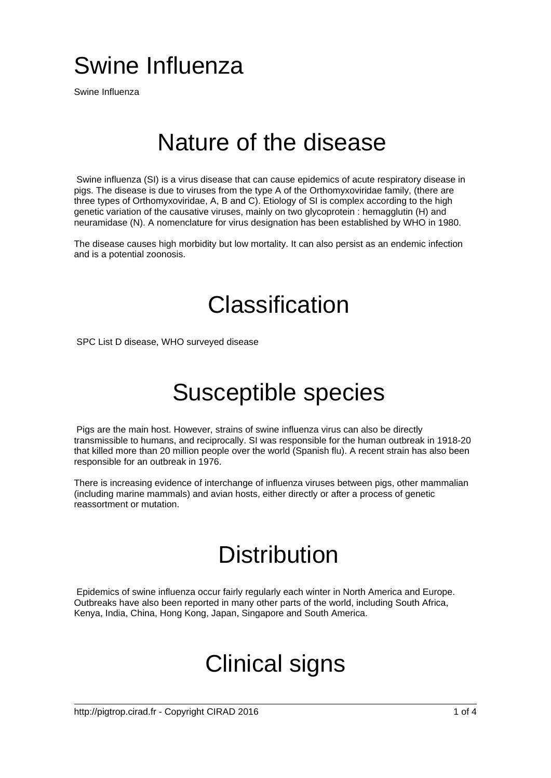#### Swine Influenza

Swine Influenza

## Nature of the disease

 Swine influenza (SI) is a virus disease that can cause epidemics of acute respiratory disease in pigs. The disease is due to viruses from the type A of the Orthomyxoviridae family, (there are three types of Orthomyxoviridae, A, B and C). Etiology of SI is complex according to the high genetic variation of the causative viruses, mainly on two glycoprotein : hemagglutin (H) and neuramidase (N). A nomenclature for virus designation has been established by WHO in 1980.

The disease causes high morbidity but low mortality. It can also persist as an endemic infection and is a potential zoonosis.

## **Classification**

SPC List D disease, WHO surveyed disease

#### Susceptible species

 Pigs are the main host. However, strains of swine influenza virus can also be directly transmissible to humans, and reciprocally. SI was responsible for the human outbreak in 1918-20 that killed more than 20 million people over the world (Spanish flu). A recent strain has also been responsible for an outbreak in 1976.

There is increasing evidence of interchange of influenza viruses between pigs, other mammalian (including marine mammals) and avian hosts, either directly or after a process of genetic reassortment or mutation.

#### **Distribution**

 Epidemics of swine influenza occur fairly regularly each winter in North America and Europe. Outbreaks have also been reported in many other parts of the world, including South Africa, Kenya, India, China, Hong Kong, Japan, Singapore and South America.

## Clinical signs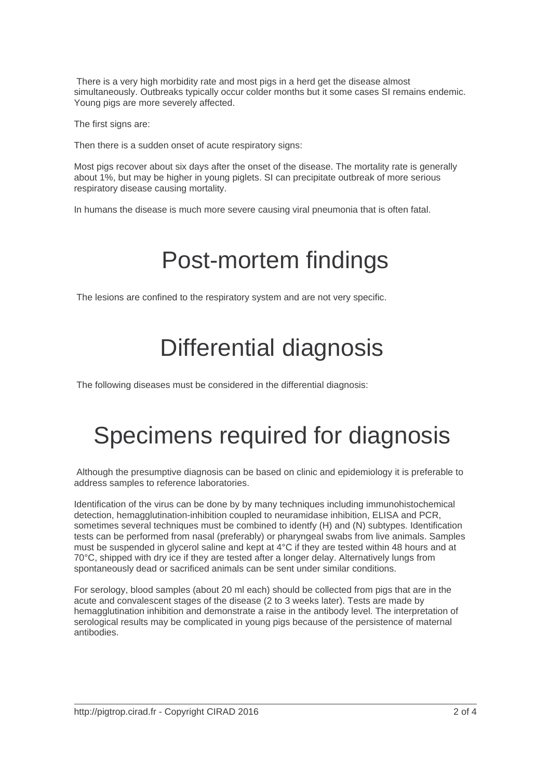There is a very high morbidity rate and most pigs in a herd get the disease almost simultaneously. Outbreaks typically occur colder months but it some cases SI remains endemic. Young pigs are more severely affected.

The first signs are:

Then there is a sudden onset of acute respiratory signs:

Most pigs recover about six days after the onset of the disease. The mortality rate is generally about 1%, but may be higher in young piglets. SI can precipitate outbreak of more serious respiratory disease causing mortality.

In humans the disease is much more severe causing viral pneumonia that is often fatal.

#### Post-mortem findings

The lesions are confined to the respiratory system and are not very specific.

## Differential diagnosis

The following diseases must be considered in the differential diagnosis:

## Specimens required for diagnosis

 Although the presumptive diagnosis can be based on clinic and epidemiology it is preferable to address samples to reference laboratories.

Identification of the virus can be done by by many techniques including immunohistochemical detection, hemagglutination-inhibition coupled to neuramidase inhibition, ELISA and PCR, sometimes several techniques must be combined to identfy (H) and (N) subtypes. Identification tests can be performed from nasal (preferably) or pharyngeal swabs from live animals. Samples must be suspended in glycerol saline and kept at 4°C if they are tested within 48 hours and at 70°C, shipped with dry ice if they are tested after a longer delay. Alternatively lungs from spontaneously dead or sacrificed animals can be sent under similar conditions.

For serology, blood samples (about 20 ml each) should be collected from pigs that are in the acute and convalescent stages of the disease (2 to 3 weeks later). Tests are made by hemagglutination inhibition and demonstrate a raise in the antibody level. The interpretation of serological results may be complicated in young pigs because of the persistence of maternal antibodies.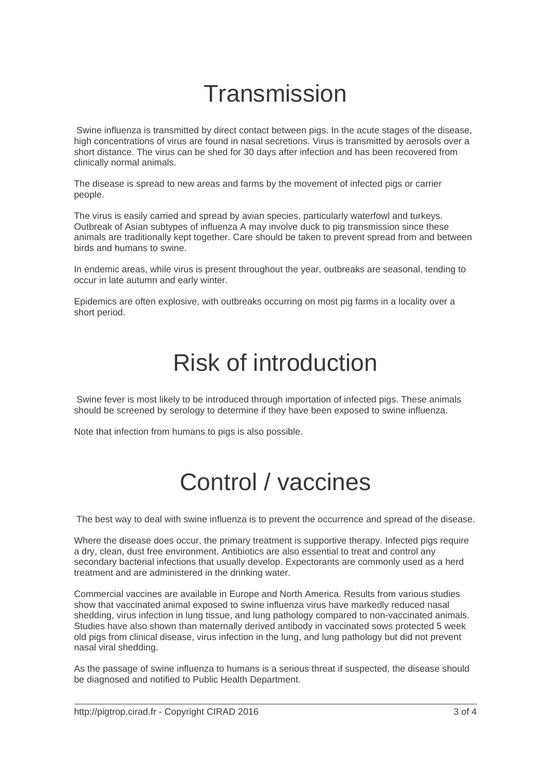# **Transmission**

 Swine influenza is transmitted by direct contact between pigs. In the acute stages of the disease, high concentrations of virus are found in nasal secretions. Virus is transmitted by aerosols over a short distance. The virus can be shed for 30 days after infection and has been recovered from clinically normal animals.

The disease is spread to new areas and farms by the movement of infected pigs or carrier people.

The virus is easily carried and spread by avian species, particularly waterfowl and turkeys. Outbreak of Asian subtypes of influenza A may involve duck to pig transmission since these animals are traditionally kept together. Care should be taken to prevent spread from and between birds and humans to swine.

In endemic areas, while virus is present throughout the year, outbreaks are seasonal, tending to occur in late autumn and early winter.

Epidemics are often explosive, with outbreaks occurring on most pig farms in a locality over a short period.

#### Risk of introduction

 Swine fever is most likely to be introduced through importation of infected pigs. These animals should be screened by serology to determine if they have been exposed to swine influenza.

Note that infection from humans to pigs is also possible.

## Control / vaccines

The best way to deal with swine influenza is to prevent the occurrence and spread of the disease.

Where the disease does occur, the primary treatment is supportive therapy. Infected pigs require a dry, clean, dust free environment. Antibiotics are also essential to treat and control any secondary bacterial infections that usually develop. Expectorants are commonly used as a herd treatment and are administered in the drinking water.

Commercial vaccines are available in Europe and North America. Results from various studies show that vaccinated animal exposed to swine influenza virus have markedly reduced nasal shedding, virus infection in lung tissue, and lung pathology compared to non-vaccinated animals. Studies have also shown than maternally derived antibody in vaccinated sows protected 5 week old pigs from clinical disease, virus infection in the lung, and lung pathology but did not prevent nasal viral shedding.

As the passage of swine influenza to humans is a serious threat if suspected, the disease should be diagnosed and notified to Public Health Department.